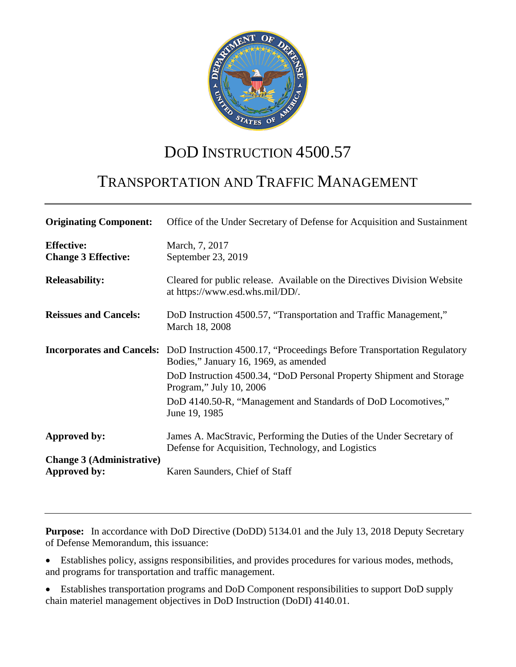

# DOD INSTRUCTION 4500.57

# TRANSPORTATION AND TRAFFIC MANAGEMENT

| <b>Originating Component:</b>                    | Office of the Under Secretary of Defense for Acquisition and Sustainment                                                                         |
|--------------------------------------------------|--------------------------------------------------------------------------------------------------------------------------------------------------|
| <b>Effective:</b><br><b>Change 3 Effective:</b>  | March, 7, 2017<br>September 23, 2019                                                                                                             |
| <b>Releasability:</b>                            | Cleared for public release. Available on the Directives Division Website<br>at https://www.esd.whs.mil/DD/.                                      |
| <b>Reissues and Cancels:</b>                     | DoD Instruction 4500.57, "Transportation and Traffic Management,"<br>March 18, 2008                                                              |
|                                                  | <b>Incorporates and Cancels:</b> DoD Instruction 4500.17, "Proceedings Before Transportation Regulatory<br>Bodies," January 16, 1969, as amended |
|                                                  | DoD Instruction 4500.34, "DoD Personal Property Shipment and Storage<br>Program," July 10, 2006                                                  |
|                                                  | DoD 4140.50-R, "Management and Standards of DoD Locomotives,"<br>June 19, 1985                                                                   |
| Approved by:                                     | James A. MacStravic, Performing the Duties of the Under Secretary of<br>Defense for Acquisition, Technology, and Logistics                       |
| <b>Change 3 (Administrative)</b><br>Approved by: | Karen Saunders, Chief of Staff                                                                                                                   |

**Purpose:** In accordance with DoD Directive (DoDD) 5134.01 and the July 13, 2018 Deputy Secretary of Defense Memorandum, this issuance:

• Establishes policy, assigns responsibilities, and provides procedures for various modes, methods, and programs for transportation and traffic management.

• Establishes transportation programs and DoD Component responsibilities to support DoD supply chain materiel management objectives in DoD Instruction (DoDI) 4140.01.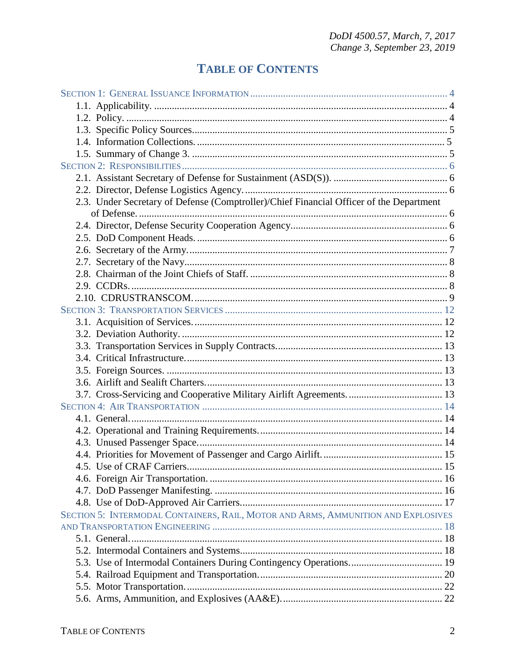## **TABLE OF CONTENTS**

| 2.3. Under Secretary of Defense (Comptroller)/Chief Financial Officer of the Department |  |
|-----------------------------------------------------------------------------------------|--|
|                                                                                         |  |
|                                                                                         |  |
|                                                                                         |  |
|                                                                                         |  |
|                                                                                         |  |
|                                                                                         |  |
|                                                                                         |  |
|                                                                                         |  |
|                                                                                         |  |
|                                                                                         |  |
|                                                                                         |  |
|                                                                                         |  |
|                                                                                         |  |
|                                                                                         |  |
|                                                                                         |  |
|                                                                                         |  |
|                                                                                         |  |
|                                                                                         |  |
|                                                                                         |  |
|                                                                                         |  |
|                                                                                         |  |
|                                                                                         |  |
|                                                                                         |  |
|                                                                                         |  |
|                                                                                         |  |
| SECTION 5: INTERMODAL CONTAINERS, RAIL, MOTOR AND ARMS, AMMUNITION AND EXPLOSIVES       |  |
|                                                                                         |  |
|                                                                                         |  |
|                                                                                         |  |
|                                                                                         |  |
|                                                                                         |  |
|                                                                                         |  |
|                                                                                         |  |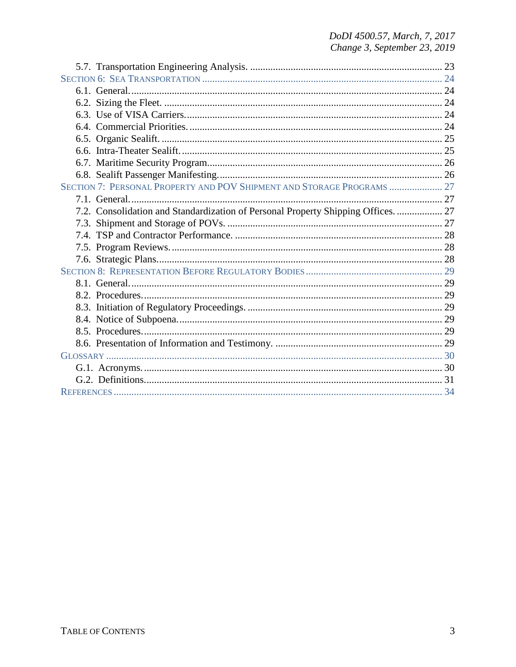# DoDI 4500.57, March, 7, 2017<br>Change 3, September 23, 2019

| SECTION 7: PERSONAL PROPERTY AND POV SHIPMENT AND STORAGE PROGRAMS  27            |  |
|-----------------------------------------------------------------------------------|--|
|                                                                                   |  |
| 7.2. Consolidation and Standardization of Personal Property Shipping Offices.  27 |  |
|                                                                                   |  |
|                                                                                   |  |
|                                                                                   |  |
|                                                                                   |  |
|                                                                                   |  |
|                                                                                   |  |
|                                                                                   |  |
|                                                                                   |  |
|                                                                                   |  |
|                                                                                   |  |
|                                                                                   |  |
|                                                                                   |  |
|                                                                                   |  |
|                                                                                   |  |
|                                                                                   |  |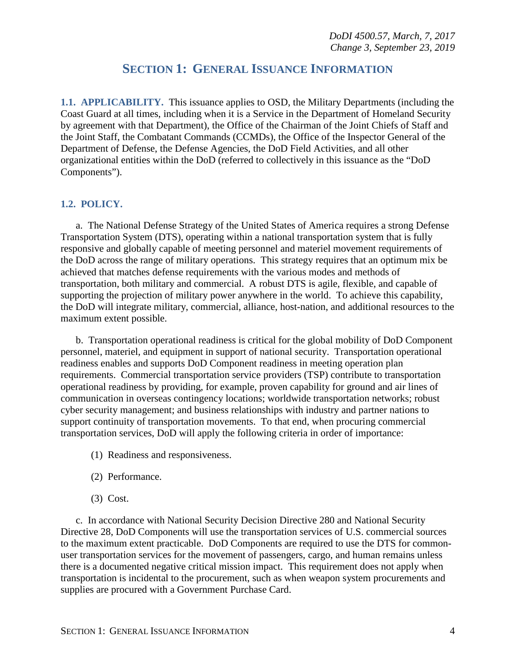## **SECTION 1: GENERAL ISSUANCE INFORMATION**

<span id="page-3-1"></span><span id="page-3-0"></span>**1.1. APPLICABILITY.** This issuance applies to OSD, the Military Departments (including the Coast Guard at all times, including when it is a Service in the Department of Homeland Security by agreement with that Department), the Office of the Chairman of the Joint Chiefs of Staff and the Joint Staff, the Combatant Commands (CCMDs), the Office of the Inspector General of the Department of Defense, the Defense Agencies, the DoD Field Activities, and all other organizational entities within the DoD (referred to collectively in this issuance as the "DoD Components").

#### <span id="page-3-2"></span>**1.2. POLICY.**

a. The National Defense Strategy of the United States of America requires a strong Defense Transportation System (DTS), operating within a national transportation system that is fully responsive and globally capable of meeting personnel and materiel movement requirements of the DoD across the range of military operations. This strategy requires that an optimum mix be achieved that matches defense requirements with the various modes and methods of transportation, both military and commercial. A robust DTS is agile, flexible, and capable of supporting the projection of military power anywhere in the world. To achieve this capability, the DoD will integrate military, commercial, alliance, host-nation, and additional resources to the maximum extent possible.

b. Transportation operational readiness is critical for the global mobility of DoD Component personnel, materiel, and equipment in support of national security. Transportation operational readiness enables and supports DoD Component readiness in meeting operation plan requirements. Commercial transportation service providers (TSP) contribute to transportation operational readiness by providing, for example, proven capability for ground and air lines of communication in overseas contingency locations; worldwide transportation networks; robust cyber security management; and business relationships with industry and partner nations to support continuity of transportation movements. To that end, when procuring commercial transportation services, DoD will apply the following criteria in order of importance:

- (1) Readiness and responsiveness.
- (2) Performance.
- (3) Cost.

c. In accordance with National Security Decision Directive 280 and National Security Directive 28, DoD Components will use the transportation services of U.S. commercial sources to the maximum extent practicable. DoD Components are required to use the DTS for commonuser transportation services for the movement of passengers, cargo, and human remains unless there is a documented negative critical mission impact. This requirement does not apply when transportation is incidental to the procurement, such as when weapon system procurements and supplies are procured with a Government Purchase Card.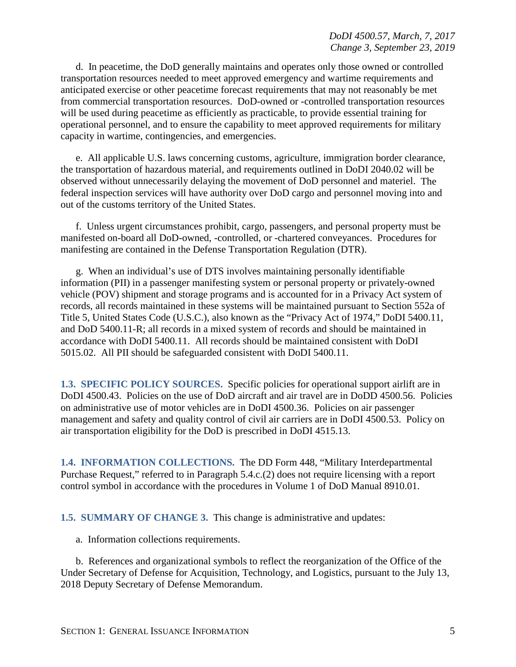d. In peacetime, the DoD generally maintains and operates only those owned or controlled transportation resources needed to meet approved emergency and wartime requirements and anticipated exercise or other peacetime forecast requirements that may not reasonably be met from commercial transportation resources. DoD-owned or -controlled transportation resources will be used during peacetime as efficiently as practicable, to provide essential training for operational personnel, and to ensure the capability to meet approved requirements for military capacity in wartime, contingencies, and emergencies.

e. All applicable U.S. laws concerning customs, agriculture, immigration border clearance, the transportation of hazardous material, and requirements outlined in DoDI 2040.02 will be observed without unnecessarily delaying the movement of DoD personnel and materiel. The federal inspection services will have authority over DoD cargo and personnel moving into and out of the customs territory of the United States.

f. Unless urgent circumstances prohibit, cargo, passengers, and personal property must be manifested on-board all DoD-owned, -controlled, or -chartered conveyances. Procedures for manifesting are contained in the Defense Transportation Regulation (DTR).

g. When an individual's use of DTS involves maintaining personally identifiable information (PII) in a passenger manifesting system or personal property or privately-owned vehicle (POV) shipment and storage programs and is accounted for in a Privacy Act system of records, all records maintained in these systems will be maintained pursuant to Section 552a of Title 5, United States Code (U.S.C.), also known as the "Privacy Act of 1974," DoDI 5400.11, and DoD 5400.11-R; all records in a mixed system of records and should be maintained in accordance with DoDI 5400.11. All records should be maintained consistent with DoDI 5015.02. All PII should be safeguarded consistent with DoDI 5400.11.

<span id="page-4-0"></span>**1.3. SPECIFIC POLICY SOURCES.** Specific policies for operational support airlift are in DoDI 4500.43. Policies on the use of DoD aircraft and air travel are in DoDD 4500.56. Policies on administrative use of motor vehicles are in DoDI 4500.36. Policies on air passenger management and safety and quality control of civil air carriers are in DoDI 4500.53. Policy on air transportation eligibility for the DoD is prescribed in DoDI 4515.13.

<span id="page-4-1"></span>**1.4. INFORMATION COLLECTIONS.** The DD Form 448, "Military Interdepartmental Purchase Request," referred to in Paragraph 5.4.c.(2) does not require licensing with a report control symbol in accordance with the procedures in Volume 1 of DoD Manual 8910.01.

<span id="page-4-2"></span>**1.5. SUMMARY OF CHANGE 3.** This change is administrative and updates:

a. Information collections requirements.

b. References and organizational symbols to reflect the reorganization of the Office of the Under Secretary of Defense for Acquisition, Technology, and Logistics, pursuant to the July 13, 2018 Deputy Secretary of Defense Memorandum.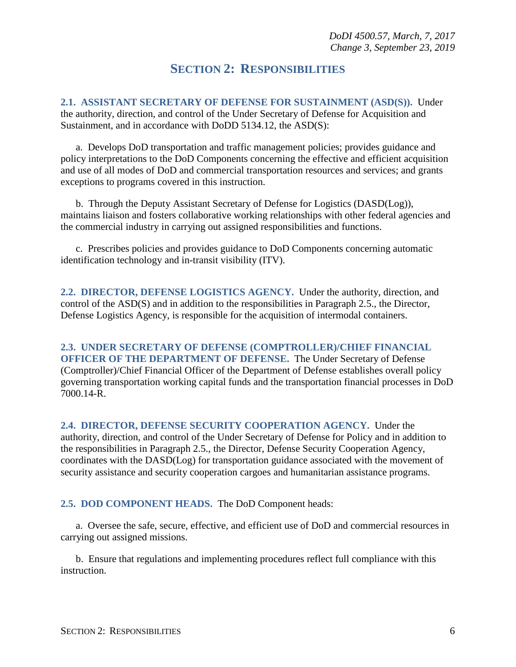## **SECTION 2: RESPONSIBILITIES**

<span id="page-5-1"></span><span id="page-5-0"></span>**2.1. ASSISTANT SECRETARY OF DEFENSE FOR SUSTAINMENT (ASD(S)).** Under the authority, direction, and control of the Under Secretary of Defense for Acquisition and Sustainment, and in accordance with DoDD 5134.12, the ASD(S):

a. Develops DoD transportation and traffic management policies; provides guidance and policy interpretations to the DoD Components concerning the effective and efficient acquisition and use of all modes of DoD and commercial transportation resources and services; and grants exceptions to programs covered in this instruction.

b. Through the Deputy Assistant Secretary of Defense for Logistics (DASD(Log)), maintains liaison and fosters collaborative working relationships with other federal agencies and the commercial industry in carrying out assigned responsibilities and functions.

c. Prescribes policies and provides guidance to DoD Components concerning automatic identification technology and in-transit visibility (ITV).

<span id="page-5-2"></span>**2.2. DIRECTOR, DEFENSE LOGISTICS AGENCY.** Under the authority, direction, and control of the ASD(S) and in addition to the responsibilities in Paragraph 2.5., the Director, Defense Logistics Agency, is responsible for the acquisition of intermodal containers.

<span id="page-5-3"></span>**2.3. UNDER SECRETARY OF DEFENSE (COMPTROLLER)/CHIEF FINANCIAL OFFICER OF THE DEPARTMENT OF DEFENSE.** The Under Secretary of Defense (Comptroller)/Chief Financial Officer of the Department of Defense establishes overall policy governing transportation working capital funds and the transportation financial processes in DoD 7000.14-R.

<span id="page-5-4"></span>**2.4. DIRECTOR, DEFENSE SECURITY COOPERATION AGENCY.** Under the authority, direction, and control of the Under Secretary of Defense for Policy and in addition to the responsibilities in Paragraph 2.5., the Director, Defense Security Cooperation Agency, coordinates with the DASD(Log) for transportation guidance associated with the movement of security assistance and security cooperation cargoes and humanitarian assistance programs.

<span id="page-5-5"></span>**2.5. DOD COMPONENT HEADS.** The DoD Component heads:

a. Oversee the safe, secure, effective, and efficient use of DoD and commercial resources in carrying out assigned missions.

b. Ensure that regulations and implementing procedures reflect full compliance with this instruction.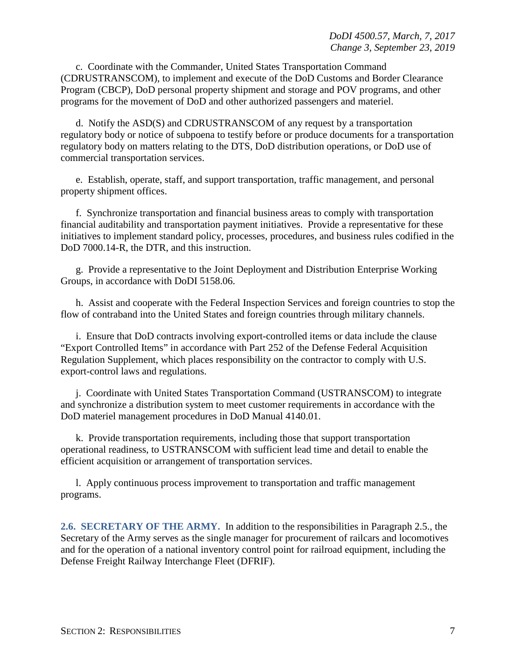c. Coordinate with the Commander, United States Transportation Command (CDRUSTRANSCOM), to implement and execute of the DoD Customs and Border Clearance Program (CBCP), DoD personal property shipment and storage and POV programs, and other programs for the movement of DoD and other authorized passengers and materiel.

d. Notify the ASD(S) and CDRUSTRANSCOM of any request by a transportation regulatory body or notice of subpoena to testify before or produce documents for a transportation regulatory body on matters relating to the DTS, DoD distribution operations, or DoD use of commercial transportation services.

e. Establish, operate, staff, and support transportation, traffic management, and personal property shipment offices.

f. Synchronize transportation and financial business areas to comply with transportation financial auditability and transportation payment initiatives. Provide a representative for these initiatives to implement standard policy, processes, procedures, and business rules codified in the DoD 7000.14-R, the DTR, and this instruction.

g. Provide a representative to the Joint Deployment and Distribution Enterprise Working Groups, in accordance with DoDI 5158.06.

h. Assist and cooperate with the Federal Inspection Services and foreign countries to stop the flow of contraband into the United States and foreign countries through military channels.

i. Ensure that DoD contracts involving export-controlled items or data include the clause "Export Controlled Items" in accordance with Part 252 of the Defense Federal Acquisition Regulation Supplement, which places responsibility on the contractor to comply with U.S. export-control laws and regulations.

j. Coordinate with United States Transportation Command (USTRANSCOM) to integrate and synchronize a distribution system to meet customer requirements in accordance with the DoD materiel management procedures in DoD Manual 4140.01.

k. Provide transportation requirements, including those that support transportation operational readiness, to USTRANSCOM with sufficient lead time and detail to enable the efficient acquisition or arrangement of transportation services.

l. Apply continuous process improvement to transportation and traffic management programs.

<span id="page-6-0"></span>**2.6. SECRETARY OF THE ARMY.** In addition to the responsibilities in Paragraph 2.5., the Secretary of the Army serves as the single manager for procurement of railcars and locomotives and for the operation of a national inventory control point for railroad equipment, including the Defense Freight Railway Interchange Fleet (DFRIF).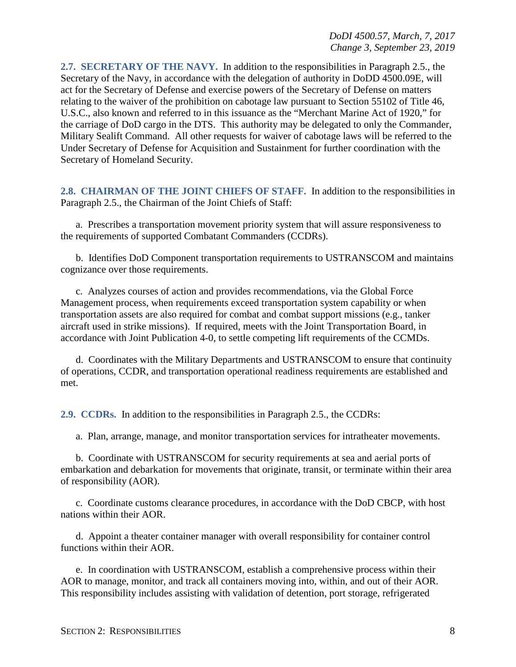<span id="page-7-0"></span>**2.7. SECRETARY OF THE NAVY.** In addition to the responsibilities in Paragraph 2.5., the Secretary of the Navy, in accordance with the delegation of authority in DoDD 4500.09E, will act for the Secretary of Defense and exercise powers of the Secretary of Defense on matters relating to the waiver of the prohibition on cabotage law pursuant to Section 55102 of Title 46, U.S.C., also known and referred to in this issuance as the "Merchant Marine Act of 1920," for the carriage of DoD cargo in the DTS. This authority may be delegated to only the Commander, Military Sealift Command. All other requests for waiver of cabotage laws will be referred to the Under Secretary of Defense for Acquisition and Sustainment for further coordination with the Secretary of Homeland Security.

<span id="page-7-1"></span>**2.8. CHAIRMAN OF THE JOINT CHIEFS OF STAFF.** In addition to the responsibilities in Paragraph 2.5., the Chairman of the Joint Chiefs of Staff:

a. Prescribes a transportation movement priority system that will assure responsiveness to the requirements of supported Combatant Commanders (CCDRs).

b. Identifies DoD Component transportation requirements to USTRANSCOM and maintains cognizance over those requirements.

c. Analyzes courses of action and provides recommendations, via the Global Force Management process, when requirements exceed transportation system capability or when transportation assets are also required for combat and combat support missions (e.g., tanker aircraft used in strike missions). If required, meets with the Joint Transportation Board, in accordance with Joint Publication 4-0, to settle competing lift requirements of the CCMDs.

d. Coordinates with the Military Departments and USTRANSCOM to ensure that continuity of operations, CCDR, and transportation operational readiness requirements are established and met.

<span id="page-7-2"></span>**2.9. CCDRs.** In addition to the responsibilities in Paragraph 2.5., the CCDRs:

a. Plan, arrange, manage, and monitor transportation services for intratheater movements.

b. Coordinate with USTRANSCOM for security requirements at sea and aerial ports of embarkation and debarkation for movements that originate, transit, or terminate within their area of responsibility (AOR).

c. Coordinate customs clearance procedures, in accordance with the DoD CBCP, with host nations within their AOR.

d. Appoint a theater container manager with overall responsibility for container control functions within their AOR.

e. In coordination with USTRANSCOM, establish a comprehensive process within their AOR to manage, monitor, and track all containers moving into, within, and out of their AOR. This responsibility includes assisting with validation of detention, port storage, refrigerated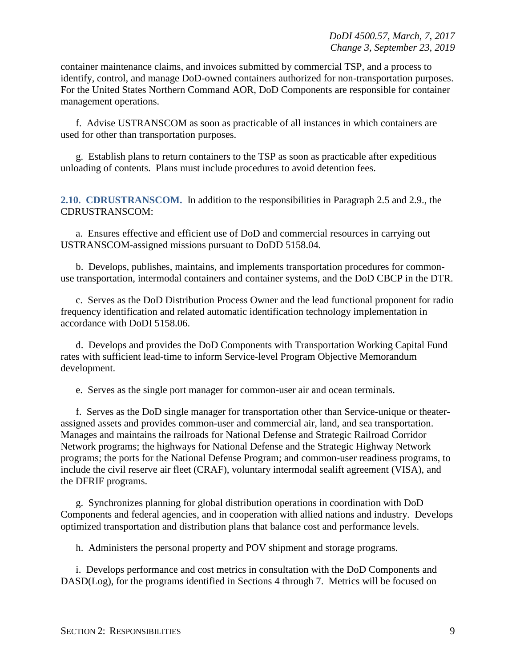container maintenance claims, and invoices submitted by commercial TSP, and a process to identify, control, and manage DoD-owned containers authorized for non-transportation purposes. For the United States Northern Command AOR, DoD Components are responsible for container management operations.

f. Advise USTRANSCOM as soon as practicable of all instances in which containers are used for other than transportation purposes.

g. Establish plans to return containers to the TSP as soon as practicable after expeditious unloading of contents. Plans must include procedures to avoid detention fees.

<span id="page-8-0"></span>**2.10. CDRUSTRANSCOM.** In addition to the responsibilities in Paragraph 2.5 and 2.9., the CDRUSTRANSCOM:

a. Ensures effective and efficient use of DoD and commercial resources in carrying out USTRANSCOM-assigned missions pursuant to DoDD 5158.04.

b. Develops, publishes, maintains, and implements transportation procedures for commonuse transportation, intermodal containers and container systems, and the DoD CBCP in the DTR.

c. Serves as the DoD Distribution Process Owner and the lead functional proponent for radio frequency identification and related automatic identification technology implementation in accordance with DoDI 5158.06.

d. Develops and provides the DoD Components with Transportation Working Capital Fund rates with sufficient lead-time to inform Service-level Program Objective Memorandum development.

e. Serves as the single port manager for common-user air and ocean terminals.

f. Serves as the DoD single manager for transportation other than Service-unique or theaterassigned assets and provides common-user and commercial air, land, and sea transportation. Manages and maintains the railroads for National Defense and Strategic Railroad Corridor Network programs; the highways for National Defense and the Strategic Highway Network programs; the ports for the National Defense Program; and common-user readiness programs, to include the civil reserve air fleet (CRAF), voluntary intermodal sealift agreement (VISA), and the DFRIF programs.

g. Synchronizes planning for global distribution operations in coordination with DoD Components and federal agencies, and in cooperation with allied nations and industry. Develops optimized transportation and distribution plans that balance cost and performance levels.

h. Administers the personal property and POV shipment and storage programs.

i. Develops performance and cost metrics in consultation with the DoD Components and DASD(Log), for the programs identified in Sections 4 through 7. Metrics will be focused on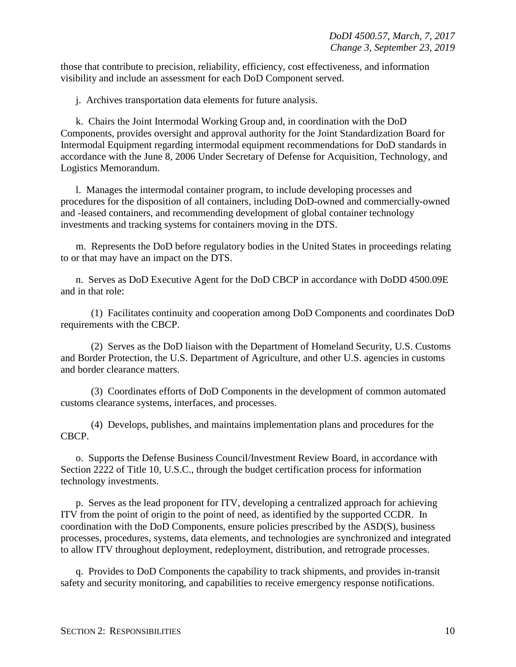those that contribute to precision, reliability, efficiency, cost effectiveness, and information visibility and include an assessment for each DoD Component served.

j. Archives transportation data elements for future analysis.

k. Chairs the Joint Intermodal Working Group and, in coordination with the DoD Components, provides oversight and approval authority for the Joint Standardization Board for Intermodal Equipment regarding intermodal equipment recommendations for DoD standards in accordance with the June 8, 2006 Under Secretary of Defense for Acquisition, Technology, and Logistics Memorandum.

l. Manages the intermodal container program, to include developing processes and procedures for the disposition of all containers, including DoD-owned and commercially-owned and -leased containers, and recommending development of global container technology investments and tracking systems for containers moving in the DTS.

m. Represents the DoD before regulatory bodies in the United States in proceedings relating to or that may have an impact on the DTS.

n. Serves as DoD Executive Agent for the DoD CBCP in accordance with DoDD 4500.09E and in that role:

(1) Facilitates continuity and cooperation among DoD Components and coordinates DoD requirements with the CBCP.

(2) Serves as the DoD liaison with the Department of Homeland Security, U.S. Customs and Border Protection, the U.S. Department of Agriculture, and other U.S. agencies in customs and border clearance matters.

(3) Coordinates efforts of DoD Components in the development of common automated customs clearance systems, interfaces, and processes.

(4) Develops, publishes, and maintains implementation plans and procedures for the CBCP.

o. Supports the Defense Business Council/Investment Review Board, in accordance with Section 2222 of Title 10, U.S.C., through the budget certification process for information technology investments.

p. Serves as the lead proponent for ITV, developing a centralized approach for achieving ITV from the point of origin to the point of need, as identified by the supported CCDR. In coordination with the DoD Components, ensure policies prescribed by the ASD(S), business processes, procedures, systems, data elements, and technologies are synchronized and integrated to allow ITV throughout deployment, redeployment, distribution, and retrograde processes.

q. Provides to DoD Components the capability to track shipments, and provides in-transit safety and security monitoring, and capabilities to receive emergency response notifications.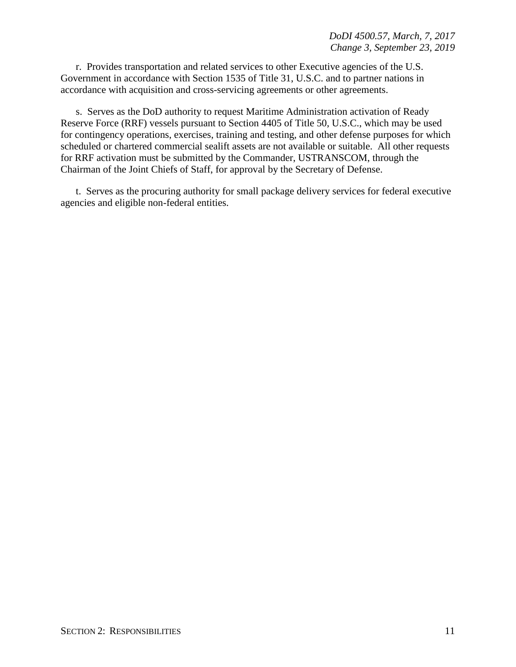r. Provides transportation and related services to other Executive agencies of the U.S. Government in accordance with Section 1535 of Title 31, U.S.C. and to partner nations in accordance with acquisition and cross-servicing agreements or other agreements.

s. Serves as the DoD authority to request Maritime Administration activation of Ready Reserve Force (RRF) vessels pursuant to Section 4405 of Title 50, U.S.C., which may be used for contingency operations, exercises, training and testing, and other defense purposes for which scheduled or chartered commercial sealift assets are not available or suitable. All other requests for RRF activation must be submitted by the Commander, USTRANSCOM, through the Chairman of the Joint Chiefs of Staff, for approval by the Secretary of Defense.

t. Serves as the procuring authority for small package delivery services for federal executive agencies and eligible non-federal entities.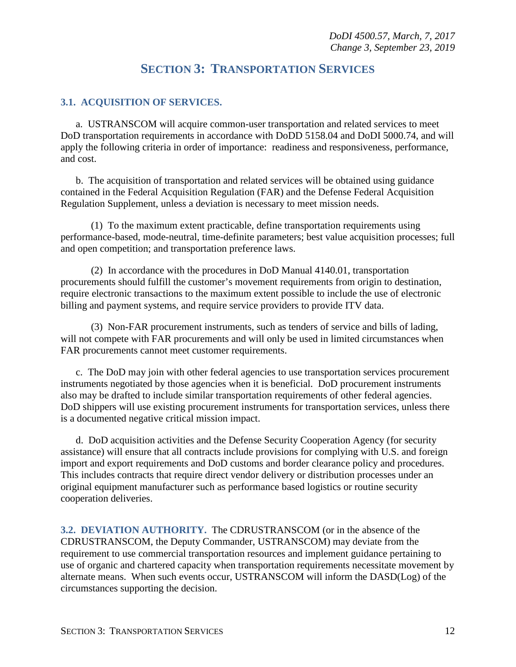## **SECTION 3: TRANSPORTATION SERVICES**

#### <span id="page-11-1"></span><span id="page-11-0"></span>**3.1. ACQUISITION OF SERVICES.**

a. USTRANSCOM will acquire common-user transportation and related services to meet DoD transportation requirements in accordance with DoDD 5158.04 and DoDI 5000.74, and will apply the following criteria in order of importance: readiness and responsiveness, performance, and cost.

b. The acquisition of transportation and related services will be obtained using guidance contained in the Federal Acquisition Regulation (FAR) and the Defense Federal Acquisition Regulation Supplement, unless a deviation is necessary to meet mission needs.

(1) To the maximum extent practicable, define transportation requirements using performance-based, mode-neutral, time-definite parameters; best value acquisition processes; full and open competition; and transportation preference laws.

(2) In accordance with the procedures in DoD Manual 4140.01, transportation procurements should fulfill the customer's movement requirements from origin to destination, require electronic transactions to the maximum extent possible to include the use of electronic billing and payment systems, and require service providers to provide ITV data.

(3) Non-FAR procurement instruments, such as tenders of service and bills of lading, will not compete with FAR procurements and will only be used in limited circumstances when FAR procurements cannot meet customer requirements.

c. The DoD may join with other federal agencies to use transportation services procurement instruments negotiated by those agencies when it is beneficial. DoD procurement instruments also may be drafted to include similar transportation requirements of other federal agencies. DoD shippers will use existing procurement instruments for transportation services, unless there is a documented negative critical mission impact.

d. DoD acquisition activities and the Defense Security Cooperation Agency (for security assistance) will ensure that all contracts include provisions for complying with U.S. and foreign import and export requirements and DoD customs and border clearance policy and procedures. This includes contracts that require direct vendor delivery or distribution processes under an original equipment manufacturer such as performance based logistics or routine security cooperation deliveries.

<span id="page-11-2"></span>**3.2. DEVIATION AUTHORITY.** The CDRUSTRANSCOM (or in the absence of the CDRUSTRANSCOM, the Deputy Commander, USTRANSCOM) may deviate from the requirement to use commercial transportation resources and implement guidance pertaining to use of organic and chartered capacity when transportation requirements necessitate movement by alternate means. When such events occur, USTRANSCOM will inform the DASD(Log) of the circumstances supporting the decision.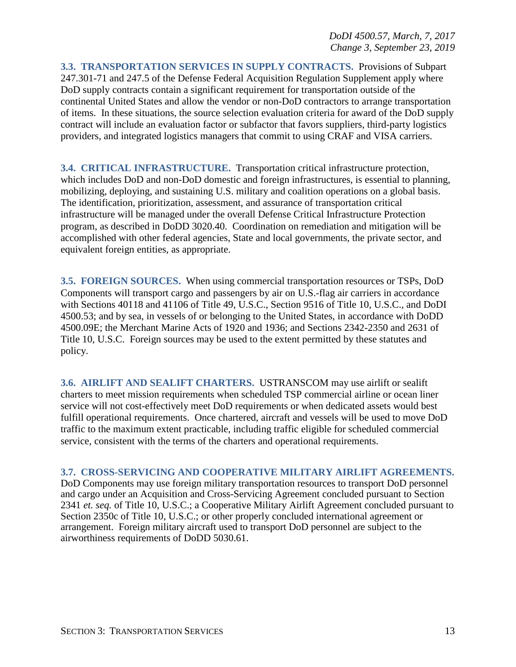<span id="page-12-0"></span>**3.3. TRANSPORTATION SERVICES IN SUPPLY CONTRACTS.** Provisions of Subpart 247.301-71 and 247.5 of the Defense Federal Acquisition Regulation Supplement apply where DoD supply contracts contain a significant requirement for transportation outside of the continental United States and allow the vendor or non-DoD contractors to arrange transportation of items. In these situations, the source selection evaluation criteria for award of the DoD supply contract will include an evaluation factor or subfactor that favors suppliers, third-party logistics providers, and integrated logistics managers that commit to using CRAF and VISA carriers.

<span id="page-12-1"></span>**3.4. CRITICAL INFRASTRUCTURE.** Transportation critical infrastructure protection, which includes DoD and non-DoD domestic and foreign infrastructures, is essential to planning, mobilizing, deploying, and sustaining U.S. military and coalition operations on a global basis. The identification, prioritization, assessment, and assurance of transportation critical infrastructure will be managed under the overall Defense Critical Infrastructure Protection program, as described in DoDD 3020.40. Coordination on remediation and mitigation will be accomplished with other federal agencies, State and local governments, the private sector, and equivalent foreign entities, as appropriate.

<span id="page-12-2"></span>**3.5. FOREIGN SOURCES.** When using commercial transportation resources or TSPs, DoD Components will transport cargo and passengers by air on U.S.-flag air carriers in accordance with Sections 40118 and 41106 of Title 49, U.S.C., Section 9516 of Title 10, U.S.C., and DoDI 4500.53; and by sea, in vessels of or belonging to the United States, in accordance with DoDD 4500.09E; the Merchant Marine Acts of 1920 and 1936; and Sections 2342-2350 and 2631 of Title 10, U.S.C. Foreign sources may be used to the extent permitted by these statutes and policy.

<span id="page-12-3"></span>**3.6. AIRLIFT AND SEALIFT CHARTERS.** USTRANSCOM may use airlift or sealift charters to meet mission requirements when scheduled TSP commercial airline or ocean liner service will not cost-effectively meet DoD requirements or when dedicated assets would best fulfill operational requirements. Once chartered, aircraft and vessels will be used to move DoD traffic to the maximum extent practicable, including traffic eligible for scheduled commercial service, consistent with the terms of the charters and operational requirements.

#### <span id="page-12-4"></span>**3.7. CROSS-SERVICING AND COOPERATIVE MILITARY AIRLIFT AGREEMENTS.**

DoD Components may use foreign military transportation resources to transport DoD personnel and cargo under an Acquisition and Cross-Servicing Agreement concluded pursuant to Section 2341 *et. seq.* of Title 10, U.S.C.; a Cooperative Military Airlift Agreement concluded pursuant to Section 2350c of Title 10, U.S.C.; or other properly concluded international agreement or arrangement. Foreign military aircraft used to transport DoD personnel are subject to the airworthiness requirements of DoDD 5030.61.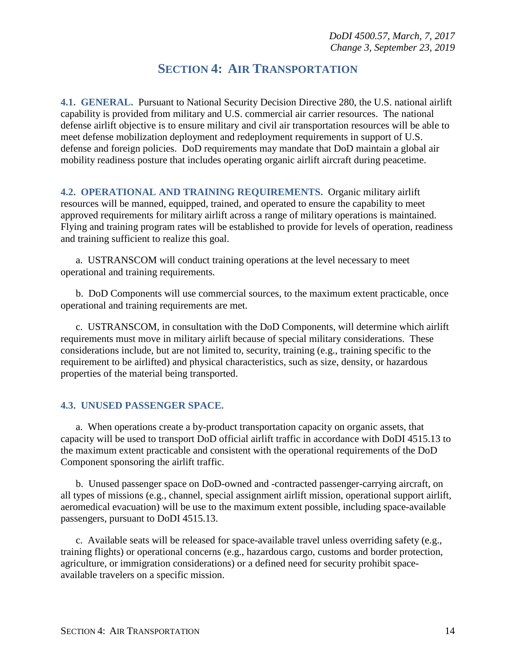## **SECTION 4: AIR TRANSPORTATION**

<span id="page-13-1"></span><span id="page-13-0"></span>**4.1. GENERAL.** Pursuant to National Security Decision Directive 280, the U.S. national airlift capability is provided from military and U.S. commercial air carrier resources. The national defense airlift objective is to ensure military and civil air transportation resources will be able to meet defense mobilization deployment and redeployment requirements in support of U.S. defense and foreign policies. DoD requirements may mandate that DoD maintain a global air mobility readiness posture that includes operating organic airlift aircraft during peacetime.

<span id="page-13-2"></span>**4.2. OPERATIONAL AND TRAINING REQUIREMENTS.** Organic military airlift resources will be manned, equipped, trained, and operated to ensure the capability to meet approved requirements for military airlift across a range of military operations is maintained. Flying and training program rates will be established to provide for levels of operation, readiness and training sufficient to realize this goal.

a. USTRANSCOM will conduct training operations at the level necessary to meet operational and training requirements.

b. DoD Components will use commercial sources, to the maximum extent practicable, once operational and training requirements are met.

c. USTRANSCOM, in consultation with the DoD Components, will determine which airlift requirements must move in military airlift because of special military considerations. These considerations include, but are not limited to, security, training (e.g., training specific to the requirement to be airlifted) and physical characteristics, such as size, density, or hazardous properties of the material being transported.

#### <span id="page-13-3"></span>**4.3. UNUSED PASSENGER SPACE.**

a. When operations create a by-product transportation capacity on organic assets, that capacity will be used to transport DoD official airlift traffic in accordance with DoDI 4515.13 to the maximum extent practicable and consistent with the operational requirements of the DoD Component sponsoring the airlift traffic.

b. Unused passenger space on DoD-owned and -contracted passenger-carrying aircraft, on all types of missions (e.g., channel, special assignment airlift mission, operational support airlift, aeromedical evacuation) will be use to the maximum extent possible, including space-available passengers, pursuant to DoDI 4515.13.

c. Available seats will be released for space-available travel unless overriding safety (e.g., training flights) or operational concerns (e.g., hazardous cargo, customs and border protection, agriculture, or immigration considerations) or a defined need for security prohibit spaceavailable travelers on a specific mission.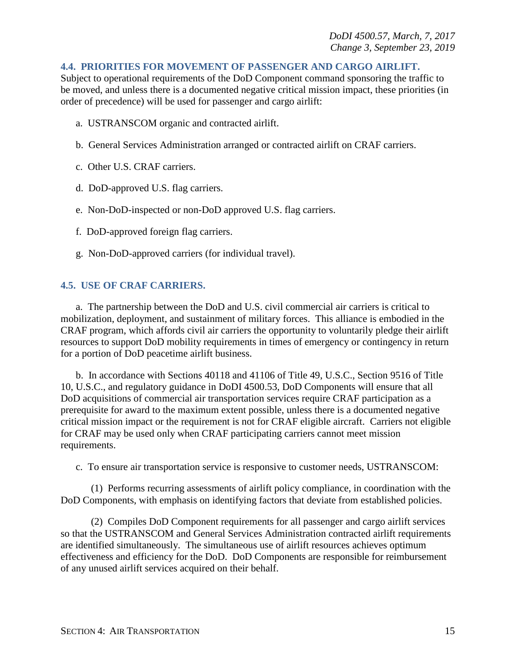#### <span id="page-14-0"></span>**4.4. PRIORITIES FOR MOVEMENT OF PASSENGER AND CARGO AIRLIFT.**

Subject to operational requirements of the DoD Component command sponsoring the traffic to be moved, and unless there is a documented negative critical mission impact, these priorities (in order of precedence) will be used for passenger and cargo airlift:

- a. USTRANSCOM organic and contracted airlift.
- b. General Services Administration arranged or contracted airlift on CRAF carriers.
- c. Other U.S. CRAF carriers.
- d. DoD-approved U.S. flag carriers.
- e. Non-DoD-inspected or non-DoD approved U.S. flag carriers.
- f. DoD-approved foreign flag carriers.
- g. Non-DoD-approved carriers (for individual travel).

#### <span id="page-14-1"></span>**4.5. USE OF CRAF CARRIERS.**

a. The partnership between the DoD and U.S. civil commercial air carriers is critical to mobilization, deployment, and sustainment of military forces. This alliance is embodied in the CRAF program, which affords civil air carriers the opportunity to voluntarily pledge their airlift resources to support DoD mobility requirements in times of emergency or contingency in return for a portion of DoD peacetime airlift business.

b. In accordance with Sections 40118 and 41106 of Title 49, U.S.C., Section 9516 of Title 10, U.S.C., and regulatory guidance in DoDI 4500.53, DoD Components will ensure that all DoD acquisitions of commercial air transportation services require CRAF participation as a prerequisite for award to the maximum extent possible, unless there is a documented negative critical mission impact or the requirement is not for CRAF eligible aircraft. Carriers not eligible for CRAF may be used only when CRAF participating carriers cannot meet mission requirements.

c. To ensure air transportation service is responsive to customer needs, USTRANSCOM:

(1) Performs recurring assessments of airlift policy compliance, in coordination with the DoD Components, with emphasis on identifying factors that deviate from established policies.

(2) Compiles DoD Component requirements for all passenger and cargo airlift services so that the USTRANSCOM and General Services Administration contracted airlift requirements are identified simultaneously. The simultaneous use of airlift resources achieves optimum effectiveness and efficiency for the DoD. DoD Components are responsible for reimbursement of any unused airlift services acquired on their behalf.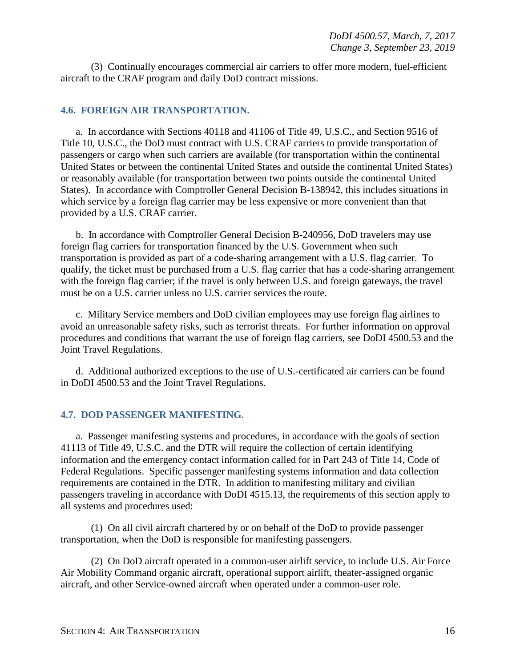(3) Continually encourages commercial air carriers to offer more modern, fuel-efficient aircraft to the CRAF program and daily DoD contract missions.

#### <span id="page-15-0"></span>**4.6. FOREIGN AIR TRANSPORTATION.**

a. In accordance with Sections 40118 and 41106 of Title 49, U.S.C., and Section 9516 of Title 10, U.S.C., the DoD must contract with U.S. CRAF carriers to provide transportation of passengers or cargo when such carriers are available (for transportation within the continental United States or between the continental United States and outside the continental United States) or reasonably available (for transportation between two points outside the continental United States). In accordance with Comptroller General Decision B-138942, this includes situations in which service by a foreign flag carrier may be less expensive or more convenient than that provided by a U.S. CRAF carrier.

b. In accordance with Comptroller General Decision B-240956, DoD travelers may use foreign flag carriers for transportation financed by the U.S. Government when such transportation is provided as part of a code-sharing arrangement with a U.S. flag carrier. To qualify, the ticket must be purchased from a U.S. flag carrier that has a code-sharing arrangement with the foreign flag carrier; if the travel is only between U.S. and foreign gateways, the travel must be on a U.S. carrier unless no U.S. carrier services the route.

c. Military Service members and DoD civilian employees may use foreign flag airlines to avoid an unreasonable safety risks, such as terrorist threats. For further information on approval procedures and conditions that warrant the use of foreign flag carriers, see DoDI 4500.53 and the Joint Travel Regulations.

d. Additional authorized exceptions to the use of U.S.-certificated air carriers can be found in DoDI 4500.53 and the Joint Travel Regulations.

#### <span id="page-15-1"></span>**4.7. DOD PASSENGER MANIFESTING.**

a. Passenger manifesting systems and procedures, in accordance with the goals of section 41113 of Title 49, U.S.C. and the DTR will require the collection of certain identifying information and the emergency contact information called for in Part 243 of Title 14, Code of Federal Regulations. Specific passenger manifesting systems information and data collection requirements are contained in the DTR. In addition to manifesting military and civilian passengers traveling in accordance with DoDI 4515.13, the requirements of this section apply to all systems and procedures used:

(1) On all civil aircraft chartered by or on behalf of the DoD to provide passenger transportation, when the DoD is responsible for manifesting passengers.

(2) On DoD aircraft operated in a common-user airlift service, to include U.S. Air Force Air Mobility Command organic aircraft, operational support airlift, theater-assigned organic aircraft, and other Service-owned aircraft when operated under a common-user role.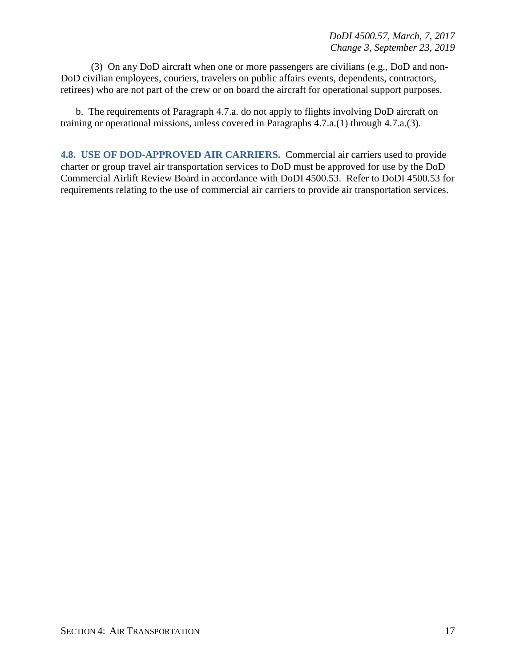(3) On any DoD aircraft when one or more passengers are civilians (e.g., DoD and non-DoD civilian employees, couriers, travelers on public affairs events, dependents, contractors, retirees) who are not part of the crew or on board the aircraft for operational support purposes.

b. The requirements of Paragraph 4.7.a. do not apply to flights involving DoD aircraft on training or operational missions, unless covered in Paragraphs 4.7.a.(1) through 4.7.a.(3).

<span id="page-16-0"></span>**4.8. USE OF DOD-APPROVED AIR CARRIERS.** Commercial air carriers used to provide charter or group travel air transportation services to DoD must be approved for use by the DoD Commercial Airlift Review Board in accordance with DoDI 4500.53. Refer to DoDI 4500.53 for requirements relating to the use of commercial air carriers to provide air transportation services.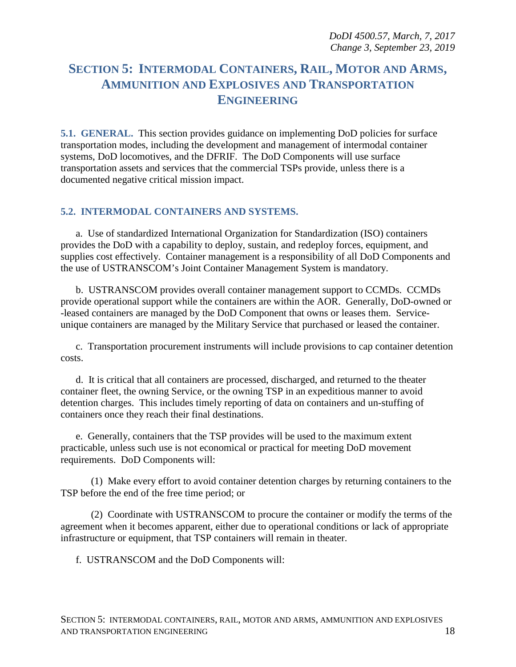## <span id="page-17-0"></span>**SECTION 5: INTERMODAL CONTAINERS, RAIL, MOTOR AND ARMS, AMMUNITION AND EXPLOSIVES AND TRANSPORTATION ENGINEERING**

<span id="page-17-1"></span>**5.1. GENERAL.** This section provides guidance on implementing DoD policies for surface transportation modes, including the development and management of intermodal container systems, DoD locomotives, and the DFRIF. The DoD Components will use surface transportation assets and services that the commercial TSPs provide, unless there is a documented negative critical mission impact.

#### <span id="page-17-2"></span>**5.2. INTERMODAL CONTAINERS AND SYSTEMS.**

a. Use of standardized International Organization for Standardization (ISO) containers provides the DoD with a capability to deploy, sustain, and redeploy forces, equipment, and supplies cost effectively. Container management is a responsibility of all DoD Components and the use of USTRANSCOM's Joint Container Management System is mandatory.

b. USTRANSCOM provides overall container management support to CCMDs. CCMDs provide operational support while the containers are within the AOR. Generally, DoD-owned or -leased containers are managed by the DoD Component that owns or leases them. Serviceunique containers are managed by the Military Service that purchased or leased the container.

c. Transportation procurement instruments will include provisions to cap container detention costs.

d. It is critical that all containers are processed, discharged, and returned to the theater container fleet, the owning Service, or the owning TSP in an expeditious manner to avoid detention charges. This includes timely reporting of data on containers and un-stuffing of containers once they reach their final destinations.

e. Generally, containers that the TSP provides will be used to the maximum extent practicable, unless such use is not economical or practical for meeting DoD movement requirements. DoD Components will:

(1) Make every effort to avoid container detention charges by returning containers to the TSP before the end of the free time period; or

(2) Coordinate with USTRANSCOM to procure the container or modify the terms of the agreement when it becomes apparent, either due to operational conditions or lack of appropriate infrastructure or equipment, that TSP containers will remain in theater.

f. USTRANSCOM and the DoD Components will: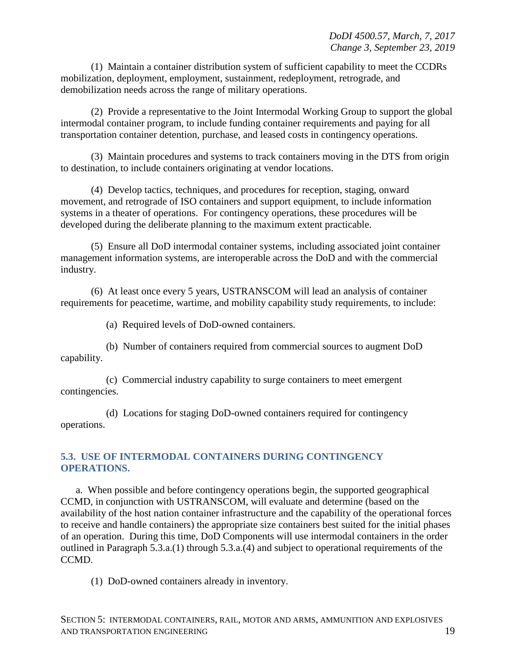(1) Maintain a container distribution system of sufficient capability to meet the CCDRs mobilization, deployment, employment, sustainment, redeployment, retrograde, and demobilization needs across the range of military operations.

(2) Provide a representative to the Joint Intermodal Working Group to support the global intermodal container program, to include funding container requirements and paying for all transportation container detention, purchase, and leased costs in contingency operations.

(3) Maintain procedures and systems to track containers moving in the DTS from origin to destination, to include containers originating at vendor locations.

(4) Develop tactics, techniques, and procedures for reception, staging, onward movement, and retrograde of ISO containers and support equipment, to include information systems in a theater of operations. For contingency operations, these procedures will be developed during the deliberate planning to the maximum extent practicable.

(5) Ensure all DoD intermodal container systems, including associated joint container management information systems, are interoperable across the DoD and with the commercial industry.

(6) At least once every 5 years, USTRANSCOM will lead an analysis of container requirements for peacetime, wartime, and mobility capability study requirements, to include:

(a) Required levels of DoD-owned containers.

(b) Number of containers required from commercial sources to augment DoD capability.

(c) Commercial industry capability to surge containers to meet emergent contingencies.

(d) Locations for staging DoD-owned containers required for contingency operations.

#### <span id="page-18-0"></span>**5.3. USE OF INTERMODAL CONTAINERS DURING CONTINGENCY OPERATIONS.**

a. When possible and before contingency operations begin, the supported geographical CCMD, in conjunction with USTRANSCOM, will evaluate and determine (based on the availability of the host nation container infrastructure and the capability of the operational forces to receive and handle containers) the appropriate size containers best suited for the initial phases of an operation. During this time, DoD Components will use intermodal containers in the order outlined in Paragraph 5.3.a.(1) through 5.3.a.(4) and subject to operational requirements of the CCMD.

(1) DoD-owned containers already in inventory.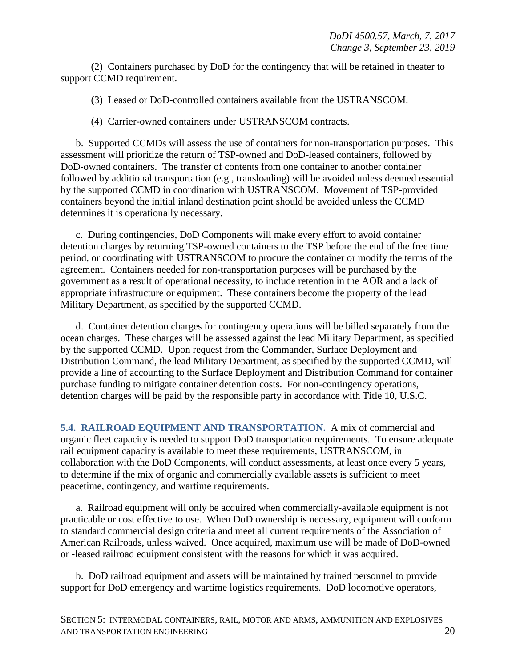(2) Containers purchased by DoD for the contingency that will be retained in theater to support CCMD requirement.

(3) Leased or DoD-controlled containers available from the USTRANSCOM.

(4) Carrier-owned containers under USTRANSCOM contracts.

b. Supported CCMDs will assess the use of containers for non-transportation purposes. This assessment will prioritize the return of TSP-owned and DoD-leased containers, followed by DoD-owned containers. The transfer of contents from one container to another container followed by additional transportation (e.g., transloading) will be avoided unless deemed essential by the supported CCMD in coordination with USTRANSCOM. Movement of TSP-provided containers beyond the initial inland destination point should be avoided unless the CCMD determines it is operationally necessary.

c. During contingencies, DoD Components will make every effort to avoid container detention charges by returning TSP-owned containers to the TSP before the end of the free time period, or coordinating with USTRANSCOM to procure the container or modify the terms of the agreement. Containers needed for non-transportation purposes will be purchased by the government as a result of operational necessity, to include retention in the AOR and a lack of appropriate infrastructure or equipment. These containers become the property of the lead Military Department, as specified by the supported CCMD.

d. Container detention charges for contingency operations will be billed separately from the ocean charges. These charges will be assessed against the lead Military Department, as specified by the supported CCMD. Upon request from the Commander, Surface Deployment and Distribution Command, the lead Military Department, as specified by the supported CCMD, will provide a line of accounting to the Surface Deployment and Distribution Command for container purchase funding to mitigate container detention costs. For non-contingency operations, detention charges will be paid by the responsible party in accordance with Title 10, U.S.C.

<span id="page-19-0"></span>**5.4. RAILROAD EQUIPMENT AND TRANSPORTATION.** A mix of commercial and organic fleet capacity is needed to support DoD transportation requirements. To ensure adequate rail equipment capacity is available to meet these requirements, USTRANSCOM, in collaboration with the DoD Components, will conduct assessments, at least once every 5 years, to determine if the mix of organic and commercially available assets is sufficient to meet peacetime, contingency, and wartime requirements.

a. Railroad equipment will only be acquired when commercially-available equipment is not practicable or cost effective to use. When DoD ownership is necessary, equipment will conform to standard commercial design criteria and meet all current requirements of the Association of American Railroads, unless waived. Once acquired, maximum use will be made of DoD-owned or -leased railroad equipment consistent with the reasons for which it was acquired.

b. DoD railroad equipment and assets will be maintained by trained personnel to provide support for DoD emergency and wartime logistics requirements. DoD locomotive operators,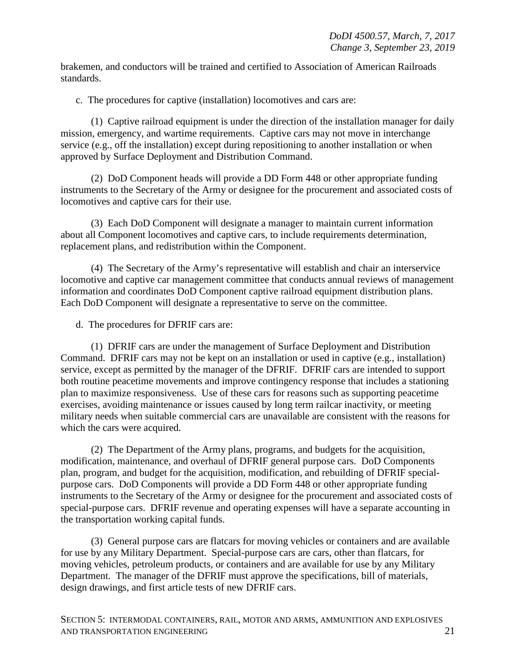brakemen, and conductors will be trained and certified to Association of American Railroads standards.

c. The procedures for captive (installation) locomotives and cars are:

(1) Captive railroad equipment is under the direction of the installation manager for daily mission, emergency, and wartime requirements. Captive cars may not move in interchange service (e.g., off the installation) except during repositioning to another installation or when approved by Surface Deployment and Distribution Command.

(2) DoD Component heads will provide a DD Form 448 or other appropriate funding instruments to the Secretary of the Army or designee for the procurement and associated costs of locomotives and captive cars for their use.

(3) Each DoD Component will designate a manager to maintain current information about all Component locomotives and captive cars, to include requirements determination, replacement plans, and redistribution within the Component.

(4) The Secretary of the Army's representative will establish and chair an interservice locomotive and captive car management committee that conducts annual reviews of management information and coordinates DoD Component captive railroad equipment distribution plans. Each DoD Component will designate a representative to serve on the committee.

d. The procedures for DFRIF cars are:

(1) DFRIF cars are under the management of Surface Deployment and Distribution Command. DFRIF cars may not be kept on an installation or used in captive (e.g., installation) service, except as permitted by the manager of the DFRIF. DFRIF cars are intended to support both routine peacetime movements and improve contingency response that includes a stationing plan to maximize responsiveness. Use of these cars for reasons such as supporting peacetime exercises, avoiding maintenance or issues caused by long term railcar inactivity, or meeting military needs when suitable commercial cars are unavailable are consistent with the reasons for which the cars were acquired.

(2) The Department of the Army plans, programs, and budgets for the acquisition, modification, maintenance, and overhaul of DFRIF general purpose cars. DoD Components plan, program, and budget for the acquisition, modification, and rebuilding of DFRIF specialpurpose cars. DoD Components will provide a DD Form 448 or other appropriate funding instruments to the Secretary of the Army or designee for the procurement and associated costs of special-purpose cars. DFRIF revenue and operating expenses will have a separate accounting in the transportation working capital funds.

(3) General purpose cars are flatcars for moving vehicles or containers and are available for use by any Military Department. Special-purpose cars are cars, other than flatcars, for moving vehicles, petroleum products, or containers and are available for use by any Military Department. The manager of the DFRIF must approve the specifications, bill of materials, design drawings, and first article tests of new DFRIF cars.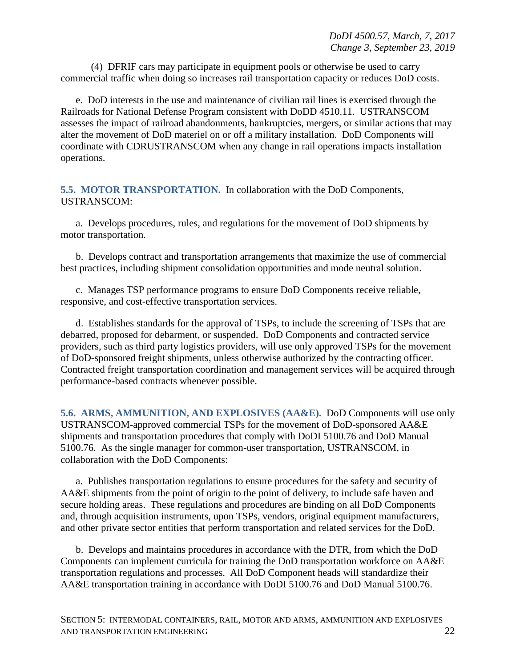(4) DFRIF cars may participate in equipment pools or otherwise be used to carry commercial traffic when doing so increases rail transportation capacity or reduces DoD costs.

e. DoD interests in the use and maintenance of civilian rail lines is exercised through the Railroads for National Defense Program consistent with DoDD 4510.11. USTRANSCOM assesses the impact of railroad abandonments, bankruptcies, mergers, or similar actions that may alter the movement of DoD materiel on or off a military installation. DoD Components will coordinate with CDRUSTRANSCOM when any change in rail operations impacts installation operations.

<span id="page-21-0"></span>**5.5. MOTOR TRANSPORTATION.** In collaboration with the DoD Components, USTRANSCOM:

a. Develops procedures, rules, and regulations for the movement of DoD shipments by motor transportation.

b. Develops contract and transportation arrangements that maximize the use of commercial best practices, including shipment consolidation opportunities and mode neutral solution.

c. Manages TSP performance programs to ensure DoD Components receive reliable, responsive, and cost-effective transportation services.

d. Establishes standards for the approval of TSPs, to include the screening of TSPs that are debarred, proposed for debarment, or suspended. DoD Components and contracted service providers, such as third party logistics providers, will use only approved TSPs for the movement of DoD-sponsored freight shipments, unless otherwise authorized by the contracting officer. Contracted freight transportation coordination and management services will be acquired through performance-based contracts whenever possible.

<span id="page-21-1"></span>**5.6. ARMS, AMMUNITION, AND EXPLOSIVES (AA&E).** DoD Components will use only USTRANSCOM-approved commercial TSPs for the movement of DoD-sponsored AA&E shipments and transportation procedures that comply with DoDI 5100.76 and DoD Manual 5100.76. As the single manager for common-user transportation, USTRANSCOM, in collaboration with the DoD Components:

a. Publishes transportation regulations to ensure procedures for the safety and security of AA&E shipments from the point of origin to the point of delivery, to include safe haven and secure holding areas. These regulations and procedures are binding on all DoD Components and, through acquisition instruments, upon TSPs, vendors, original equipment manufacturers, and other private sector entities that perform transportation and related services for the DoD.

b. Develops and maintains procedures in accordance with the DTR, from which the DoD Components can implement curricula for training the DoD transportation workforce on AA&E transportation regulations and processes. All DoD Component heads will standardize their AA&E transportation training in accordance with DoDI 5100.76 and DoD Manual 5100.76.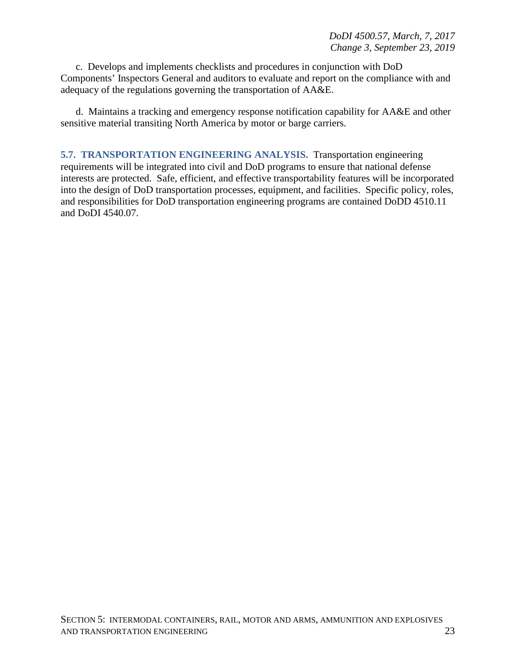c. Develops and implements checklists and procedures in conjunction with DoD Components' Inspectors General and auditors to evaluate and report on the compliance with and adequacy of the regulations governing the transportation of AA&E.

d. Maintains a tracking and emergency response notification capability for AA&E and other sensitive material transiting North America by motor or barge carriers.

<span id="page-22-0"></span>**5.7. TRANSPORTATION ENGINEERING ANALYSIS.** Transportation engineering requirements will be integrated into civil and DoD programs to ensure that national defense interests are protected. Safe, efficient, and effective transportability features will be incorporated into the design of DoD transportation processes, equipment, and facilities. Specific policy, roles, and responsibilities for DoD transportation engineering programs are contained DoDD 4510.11 and DoDI 4540.07.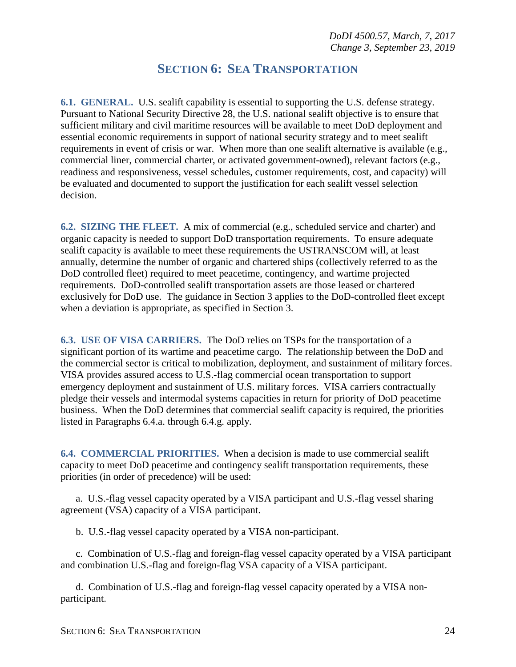## **SECTION 6: SEA TRANSPORTATION**

<span id="page-23-1"></span><span id="page-23-0"></span>**6.1. GENERAL.** U.S. sealift capability is essential to supporting the U.S. defense strategy. Pursuant to National Security Directive 28, the U.S. national sealift objective is to ensure that sufficient military and civil maritime resources will be available to meet DoD deployment and essential economic requirements in support of national security strategy and to meet sealift requirements in event of crisis or war. When more than one sealift alternative is available (e.g., commercial liner, commercial charter, or activated government-owned), relevant factors (e.g., readiness and responsiveness, vessel schedules, customer requirements, cost, and capacity) will be evaluated and documented to support the justification for each sealift vessel selection decision.

<span id="page-23-2"></span>**6.2. SIZING THE FLEET.** A mix of commercial (e.g., scheduled service and charter) and organic capacity is needed to support DoD transportation requirements. To ensure adequate sealift capacity is available to meet these requirements the USTRANSCOM will, at least annually, determine the number of organic and chartered ships (collectively referred to as the DoD controlled fleet) required to meet peacetime, contingency, and wartime projected requirements. DoD-controlled sealift transportation assets are those leased or chartered exclusively for DoD use. The guidance in Section 3 applies to the DoD-controlled fleet except when a deviation is appropriate, as specified in Section 3.

<span id="page-23-3"></span>**6.3. USE OF VISA CARRIERS.** The DoD relies on TSPs for the transportation of a significant portion of its wartime and peacetime cargo. The relationship between the DoD and the commercial sector is critical to mobilization, deployment, and sustainment of military forces. VISA provides assured access to U.S.-flag commercial ocean transportation to support emergency deployment and sustainment of U.S. military forces. VISA carriers contractually pledge their vessels and intermodal systems capacities in return for priority of DoD peacetime business. When the DoD determines that commercial sealift capacity is required, the priorities listed in Paragraphs 6.4.a. through 6.4.g. apply.

<span id="page-23-4"></span>**6.4. COMMERCIAL PRIORITIES.** When a decision is made to use commercial sealift capacity to meet DoD peacetime and contingency sealift transportation requirements, these priorities (in order of precedence) will be used:

a. U.S.-flag vessel capacity operated by a VISA participant and U.S.-flag vessel sharing agreement (VSA) capacity of a VISA participant.

b. U.S.-flag vessel capacity operated by a VISA non-participant.

c. Combination of U.S.-flag and foreign-flag vessel capacity operated by a VISA participant and combination U.S.-flag and foreign-flag VSA capacity of a VISA participant.

d. Combination of U.S.-flag and foreign-flag vessel capacity operated by a VISA nonparticipant.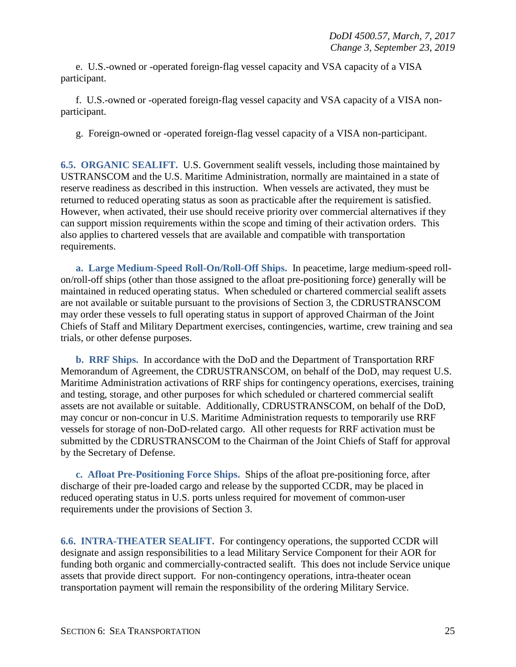e. U.S.-owned or -operated foreign-flag vessel capacity and VSA capacity of a VISA participant.

f. U.S.-owned or -operated foreign-flag vessel capacity and VSA capacity of a VISA nonparticipant.

g. Foreign-owned or -operated foreign-flag vessel capacity of a VISA non-participant.

<span id="page-24-0"></span>**6.5. ORGANIC SEALIFT.** U.S. Government sealift vessels, including those maintained by USTRANSCOM and the U.S. Maritime Administration, normally are maintained in a state of reserve readiness as described in this instruction. When vessels are activated, they must be returned to reduced operating status as soon as practicable after the requirement is satisfied. However, when activated, their use should receive priority over commercial alternatives if they can support mission requirements within the scope and timing of their activation orders. This also applies to chartered vessels that are available and compatible with transportation requirements.

**a. Large Medium-Speed Roll-On/Roll-Off Ships.** In peacetime, large medium-speed rollon/roll-off ships (other than those assigned to the afloat pre-positioning force) generally will be maintained in reduced operating status. When scheduled or chartered commercial sealift assets are not available or suitable pursuant to the provisions of Section 3, the CDRUSTRANSCOM may order these vessels to full operating status in support of approved Chairman of the Joint Chiefs of Staff and Military Department exercises, contingencies, wartime, crew training and sea trials, or other defense purposes.

**b. RRF Ships.** In accordance with the DoD and the Department of Transportation RRF Memorandum of Agreement, the CDRUSTRANSCOM, on behalf of the DoD, may request U.S. Maritime Administration activations of RRF ships for contingency operations, exercises, training and testing, storage, and other purposes for which scheduled or chartered commercial sealift assets are not available or suitable. Additionally, CDRUSTRANSCOM, on behalf of the DoD, may concur or non-concur in U.S. Maritime Administration requests to temporarily use RRF vessels for storage of non-DoD-related cargo. All other requests for RRF activation must be submitted by the CDRUSTRANSCOM to the Chairman of the Joint Chiefs of Staff for approval by the Secretary of Defense.

**c. Afloat Pre-Positioning Force Ships.** Ships of the afloat pre-positioning force, after discharge of their pre-loaded cargo and release by the supported CCDR, may be placed in reduced operating status in U.S. ports unless required for movement of common-user requirements under the provisions of Section 3.

<span id="page-24-1"></span>**6.6. INTRA-THEATER SEALIFT.** For contingency operations, the supported CCDR will designate and assign responsibilities to a lead Military Service Component for their AOR for funding both organic and commercially-contracted sealift. This does not include Service unique assets that provide direct support. For non-contingency operations, intra-theater ocean transportation payment will remain the responsibility of the ordering Military Service.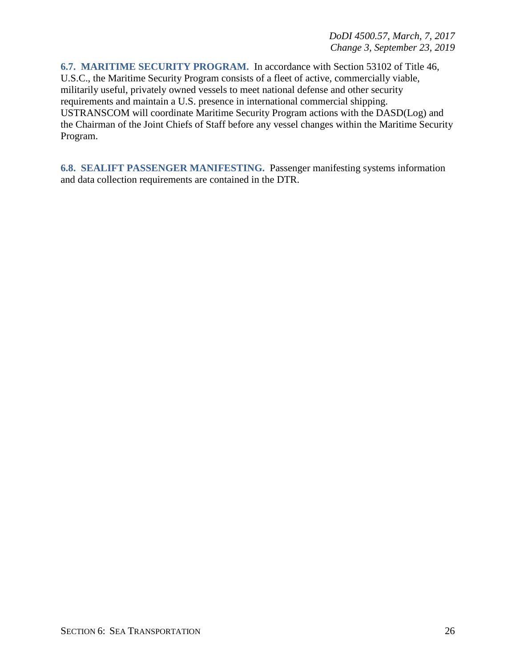<span id="page-25-0"></span>**6.7. MARITIME SECURITY PROGRAM.** In accordance with Section 53102 of Title 46, U.S.C., the Maritime Security Program consists of a fleet of active, commercially viable, militarily useful, privately owned vessels to meet national defense and other security requirements and maintain a U.S. presence in international commercial shipping. USTRANSCOM will coordinate Maritime Security Program actions with the DASD(Log) and the Chairman of the Joint Chiefs of Staff before any vessel changes within the Maritime Security Program.

<span id="page-25-1"></span>**6.8. SEALIFT PASSENGER MANIFESTING.** Passenger manifesting systems information and data collection requirements are contained in the DTR.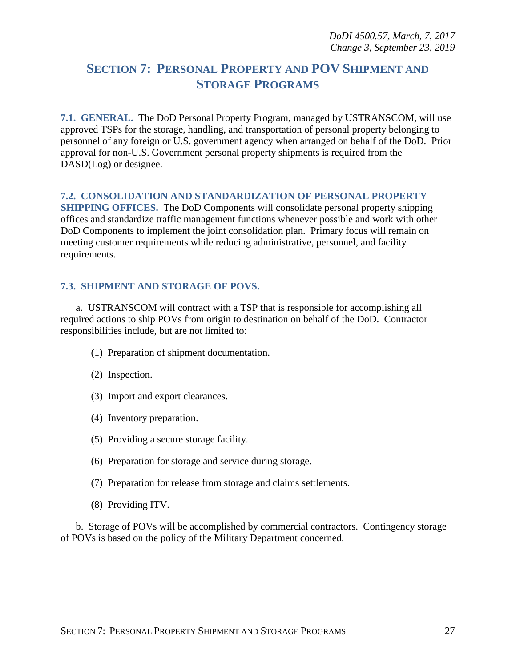## <span id="page-26-0"></span>**SECTION 7: PERSONAL PROPERTY AND POV SHIPMENT AND STORAGE PROGRAMS**

<span id="page-26-1"></span>**7.1. GENERAL.** The DoD Personal Property Program, managed by USTRANSCOM, will use approved TSPs for the storage, handling, and transportation of personal property belonging to personnel of any foreign or U.S. government agency when arranged on behalf of the DoD. Prior approval for non-U.S. Government personal property shipments is required from the DASD(Log) or designee.

#### <span id="page-26-2"></span>**7.2. CONSOLIDATION AND STANDARDIZATION OF PERSONAL PROPERTY**

**SHIPPING OFFICES.** The DoD Components will consolidate personal property shipping offices and standardize traffic management functions whenever possible and work with other DoD Components to implement the joint consolidation plan. Primary focus will remain on meeting customer requirements while reducing administrative, personnel, and facility requirements.

#### <span id="page-26-3"></span>**7.3. SHIPMENT AND STORAGE OF POVS.**

a. USTRANSCOM will contract with a TSP that is responsible for accomplishing all required actions to ship POVs from origin to destination on behalf of the DoD. Contractor responsibilities include, but are not limited to:

- (1) Preparation of shipment documentation.
- (2) Inspection.
- (3) Import and export clearances.
- (4) Inventory preparation.
- (5) Providing a secure storage facility.
- (6) Preparation for storage and service during storage.
- (7) Preparation for release from storage and claims settlements.
- (8) Providing ITV.

b. Storage of POVs will be accomplished by commercial contractors. Contingency storage of POVs is based on the policy of the Military Department concerned.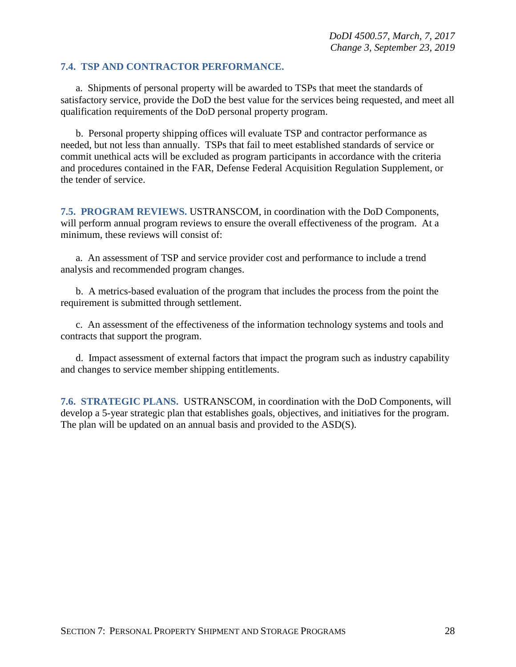#### <span id="page-27-0"></span>**7.4. TSP AND CONTRACTOR PERFORMANCE.**

a. Shipments of personal property will be awarded to TSPs that meet the standards of satisfactory service, provide the DoD the best value for the services being requested, and meet all qualification requirements of the DoD personal property program.

b. Personal property shipping offices will evaluate TSP and contractor performance as needed, but not less than annually. TSPs that fail to meet established standards of service or commit unethical acts will be excluded as program participants in accordance with the criteria and procedures contained in the FAR, Defense Federal Acquisition Regulation Supplement, or the tender of service.

<span id="page-27-1"></span>**7.5. PROGRAM REVIEWS.** USTRANSCOM, in coordination with the DoD Components, will perform annual program reviews to ensure the overall effectiveness of the program. At a minimum, these reviews will consist of:

a. An assessment of TSP and service provider cost and performance to include a trend analysis and recommended program changes.

b. A metrics-based evaluation of the program that includes the process from the point the requirement is submitted through settlement.

c. An assessment of the effectiveness of the information technology systems and tools and contracts that support the program.

d. Impact assessment of external factors that impact the program such as industry capability and changes to service member shipping entitlements.

<span id="page-27-2"></span>**7.6. STRATEGIC PLANS.** USTRANSCOM, in coordination with the DoD Components, will develop a 5-year strategic plan that establishes goals, objectives, and initiatives for the program. The plan will be updated on an annual basis and provided to the ASD(S).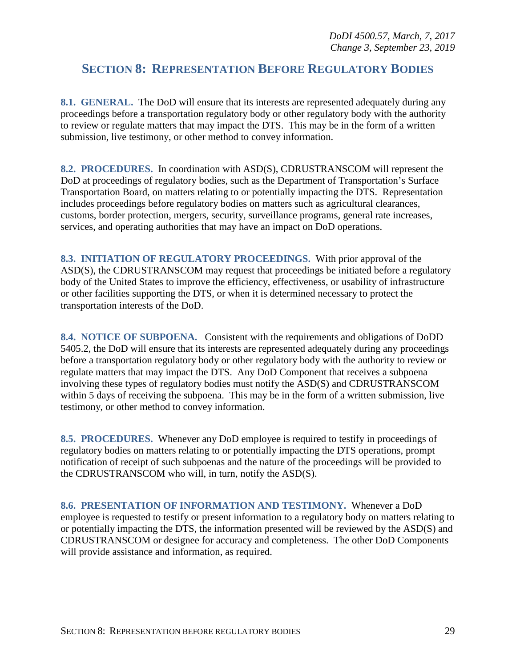### <span id="page-28-0"></span>**SECTION 8: REPRESENTATION BEFORE REGULATORY BODIES**

<span id="page-28-1"></span>**8.1. GENERAL.** The DoD will ensure that its interests are represented adequately during any proceedings before a transportation regulatory body or other regulatory body with the authority to review or regulate matters that may impact the DTS. This may be in the form of a written submission, live testimony, or other method to convey information.

<span id="page-28-2"></span>**8.2. PROCEDURES.** In coordination with ASD(S), CDRUSTRANSCOM will represent the DoD at proceedings of regulatory bodies, such as the Department of Transportation's Surface Transportation Board, on matters relating to or potentially impacting the DTS. Representation includes proceedings before regulatory bodies on matters such as agricultural clearances, customs, border protection, mergers, security, surveillance programs, general rate increases, services, and operating authorities that may have an impact on DoD operations.

<span id="page-28-3"></span>**8.3. INITIATION OF REGULATORY PROCEEDINGS.** With prior approval of the ASD(S), the CDRUSTRANSCOM may request that proceedings be initiated before a regulatory body of the United States to improve the efficiency, effectiveness, or usability of infrastructure or other facilities supporting the DTS, or when it is determined necessary to protect the transportation interests of the DoD.

<span id="page-28-4"></span>**8.4. NOTICE OF SUBPOENA.** Consistent with the requirements and obligations of DoDD 5405.2, the DoD will ensure that its interests are represented adequately during any proceedings before a transportation regulatory body or other regulatory body with the authority to review or regulate matters that may impact the DTS. Any DoD Component that receives a subpoena involving these types of regulatory bodies must notify the ASD(S) and CDRUSTRANSCOM within 5 days of receiving the subpoena. This may be in the form of a written submission, live testimony, or other method to convey information.

<span id="page-28-5"></span>**8.5. PROCEDURES.** Whenever any DoD employee is required to testify in proceedings of regulatory bodies on matters relating to or potentially impacting the DTS operations, prompt notification of receipt of such subpoenas and the nature of the proceedings will be provided to the CDRUSTRANSCOM who will, in turn, notify the ASD(S).

<span id="page-28-6"></span>**8.6. PRESENTATION OF INFORMATION AND TESTIMONY.** Whenever a DoD employee is requested to testify or present information to a regulatory body on matters relating to or potentially impacting the DTS, the information presented will be reviewed by the ASD(S) and CDRUSTRANSCOM or designee for accuracy and completeness. The other DoD Components will provide assistance and information, as required.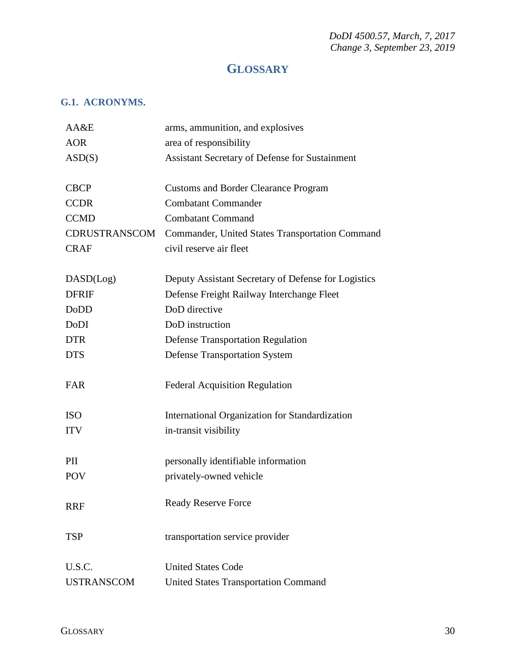*DoDI 4500.57, March, 7, 2017 Change 3, September 23, 2019* 

## **GLOSSARY**

#### <span id="page-29-1"></span><span id="page-29-0"></span>**G.1. ACRONYMS.**

| AA&E              | arms, ammunition, and explosives                    |
|-------------------|-----------------------------------------------------|
| <b>AOR</b>        | area of responsibility                              |
| ASD(S)            | Assistant Secretary of Defense for Sustainment      |
|                   |                                                     |
| <b>CBCP</b>       | <b>Customs and Border Clearance Program</b>         |
| <b>CCDR</b>       | <b>Combatant Commander</b>                          |
| <b>CCMD</b>       | <b>Combatant Command</b>                            |
| CDRUSTRANSCOM     | Commander, United States Transportation Command     |
| <b>CRAF</b>       | civil reserve air fleet                             |
|                   |                                                     |
| DASD(Log)         | Deputy Assistant Secretary of Defense for Logistics |
| <b>DFRIF</b>      | Defense Freight Railway Interchange Fleet           |
| <b>DoDD</b>       | DoD directive                                       |
| DoDI              | DoD instruction                                     |
| <b>DTR</b>        | <b>Defense Transportation Regulation</b>            |
| <b>DTS</b>        | <b>Defense Transportation System</b>                |
|                   |                                                     |
| <b>FAR</b>        | <b>Federal Acquisition Regulation</b>               |
|                   |                                                     |
| <b>ISO</b>        | International Organization for Standardization      |
| <b>ITV</b>        | in-transit visibility                               |
|                   |                                                     |
| PII               | personally identifiable information                 |
| <b>POV</b>        | privately-owned vehicle                             |
|                   |                                                     |
| <b>RRF</b>        | <b>Ready Reserve Force</b>                          |
|                   |                                                     |
| TSP               | transportation service provider                     |
|                   |                                                     |
| U.S.C.            | <b>United States Code</b>                           |
| <b>USTRANSCOM</b> | <b>United States Transportation Command</b>         |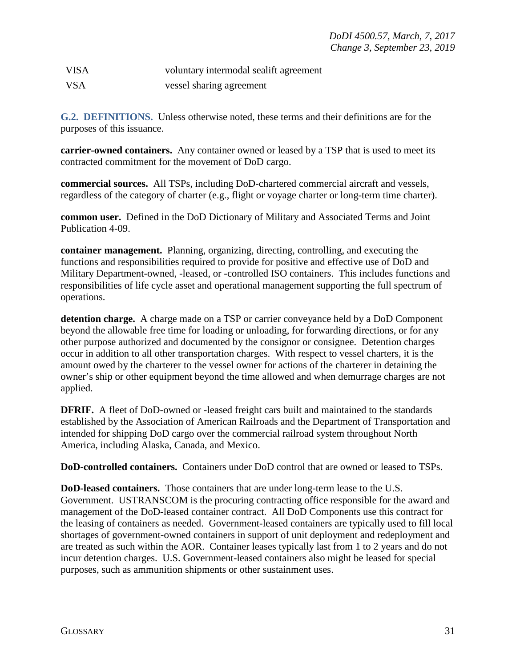| <b>VISA</b> | voluntary intermodal sealift agreement |
|-------------|----------------------------------------|
| <b>VSA</b>  | vessel sharing agreement               |

<span id="page-30-0"></span>**G.2. DEFINITIONS.** Unless otherwise noted, these terms and their definitions are for the purposes of this issuance.

**carrier-owned containers.** Any container owned or leased by a TSP that is used to meet its contracted commitment for the movement of DoD cargo.

**commercial sources.** All TSPs, including DoD-chartered commercial aircraft and vessels, regardless of the category of charter (e.g., flight or voyage charter or long-term time charter).

**common user.** Defined in the DoD Dictionary of Military and Associated Terms and Joint Publication 4-09.

**container management.** Planning, organizing, directing, controlling, and executing the functions and responsibilities required to provide for positive and effective use of DoD and Military Department-owned, -leased, or -controlled ISO containers. This includes functions and responsibilities of life cycle asset and operational management supporting the full spectrum of operations.

**detention charge.** A charge made on a TSP or carrier conveyance held by a DoD Component beyond the allowable free time for loading or unloading, for forwarding directions, or for any other purpose authorized and documented by the consignor or consignee. Detention charges occur in addition to all other transportation charges. With respect to vessel charters, it is the amount owed by the charterer to the vessel owner for actions of the charterer in detaining the owner's ship or other equipment beyond the time allowed and when demurrage charges are not applied.

**DFRIF.** A fleet of DoD-owned or -leased freight cars built and maintained to the standards established by the Association of American Railroads and the Department of Transportation and intended for shipping DoD cargo over the commercial railroad system throughout North America, including Alaska, Canada, and Mexico.

**DoD-controlled containers.** Containers under DoD control that are owned or leased to TSPs.

**DoD-leased containers.** Those containers that are under long-term lease to the U.S. Government. USTRANSCOM is the procuring contracting office responsible for the award and management of the DoD-leased container contract. All DoD Components use this contract for the leasing of containers as needed. Government-leased containers are typically used to fill local shortages of government-owned containers in support of unit deployment and redeployment and are treated as such within the AOR. Container leases typically last from 1 to 2 years and do not incur detention charges. U.S. Government-leased containers also might be leased for special purposes, such as ammunition shipments or other sustainment uses.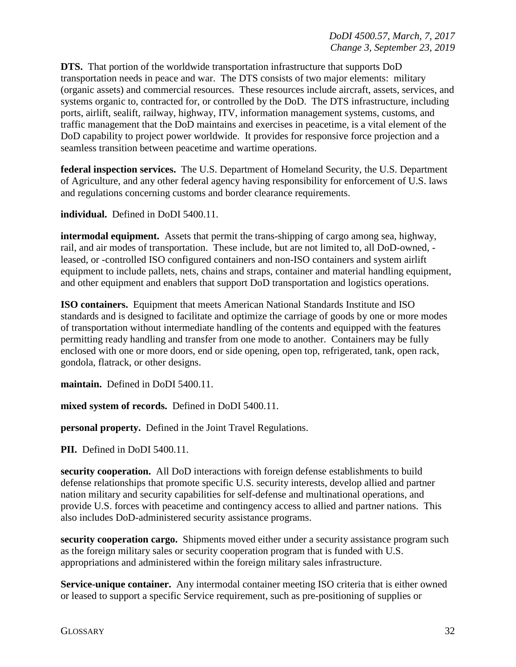**DTS.** That portion of the worldwide transportation infrastructure that supports DoD transportation needs in peace and war. The DTS consists of two major elements: military (organic assets) and commercial resources. These resources include aircraft, assets, services, and systems organic to, contracted for, or controlled by the DoD. The DTS infrastructure, including ports, airlift, sealift, railway, highway, ITV, information management systems, customs, and traffic management that the DoD maintains and exercises in peacetime, is a vital element of the DoD capability to project power worldwide. It provides for responsive force projection and a seamless transition between peacetime and wartime operations.

**federal inspection services.** The U.S. Department of Homeland Security, the U.S. Department of Agriculture, and any other federal agency having responsibility for enforcement of U.S. laws and regulations concerning customs and border clearance requirements.

**individual.** Defined in DoDI 5400.11.

**intermodal equipment.** Assets that permit the trans-shipping of cargo among sea, highway, rail, and air modes of transportation. These include, but are not limited to, all DoD-owned, leased, or -controlled ISO configured containers and non-ISO containers and system airlift equipment to include pallets, nets, chains and straps, container and material handling equipment, and other equipment and enablers that support DoD transportation and logistics operations.

**ISO containers.** Equipment that meets American National Standards Institute and ISO standards and is designed to facilitate and optimize the carriage of goods by one or more modes of transportation without intermediate handling of the contents and equipped with the features permitting ready handling and transfer from one mode to another. Containers may be fully enclosed with one or more doors, end or side opening, open top, refrigerated, tank, open rack, gondola, flatrack, or other designs.

**maintain.** Defined in DoDI 5400.11.

**mixed system of records.** Defined in DoDI 5400.11.

**personal property.** Defined in the Joint Travel Regulations.

**PII.** Defined in DoDI 5400.11.

**security cooperation.** All DoD interactions with foreign defense establishments to build defense relationships that promote specific U.S. security interests, develop allied and partner nation military and security capabilities for self-defense and multinational operations, and provide U.S. forces with peacetime and contingency access to allied and partner nations. This also includes DoD-administered security assistance programs.

**security cooperation cargo.** Shipments moved either under a security assistance program such as the foreign military sales or security cooperation program that is funded with U.S. appropriations and administered within the foreign military sales infrastructure.

**Service-unique container.** Any intermodal container meeting ISO criteria that is either owned or leased to support a specific Service requirement, such as pre-positioning of supplies or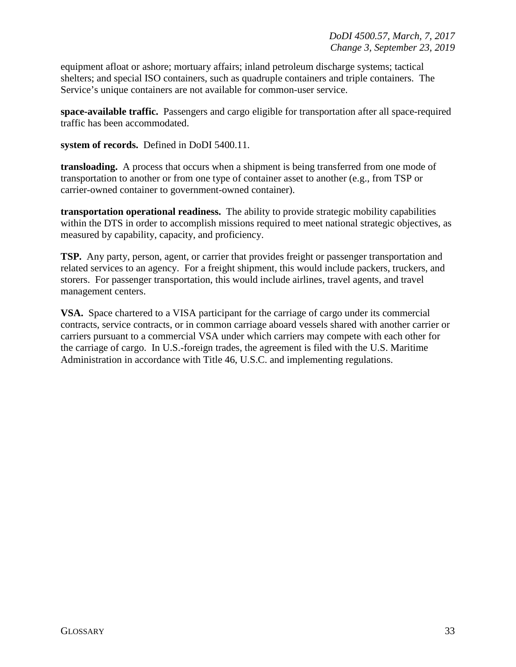equipment afloat or ashore; mortuary affairs; inland petroleum discharge systems; tactical shelters; and special ISO containers, such as quadruple containers and triple containers. The Service's unique containers are not available for common-user service.

**space-available traffic.** Passengers and cargo eligible for transportation after all space-required traffic has been accommodated.

**system of records.** Defined in DoDI 5400.11.

**transloading.** A process that occurs when a shipment is being transferred from one mode of transportation to another or from one type of container asset to another (e.g., from TSP or carrier-owned container to government-owned container).

**transportation operational readiness.** The ability to provide strategic mobility capabilities within the DTS in order to accomplish missions required to meet national strategic objectives, as measured by capability, capacity, and proficiency.

**TSP.** Any party, person, agent, or carrier that provides freight or passenger transportation and related services to an agency. For a freight shipment, this would include packers, truckers, and storers. For passenger transportation, this would include airlines, travel agents, and travel management centers.

**VSA.** Space chartered to a VISA participant for the carriage of cargo under its commercial contracts, service contracts, or in common carriage aboard vessels shared with another carrier or carriers pursuant to a commercial VSA under which carriers may compete with each other for the carriage of cargo. In U.S.-foreign trades, the agreement is filed with the U.S. Maritime Administration in accordance with Title 46, U.S.C. and implementing regulations.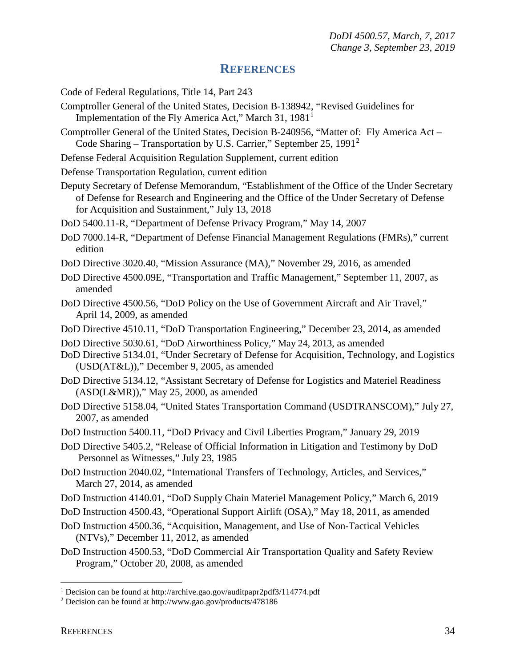#### **REFERENCES**

<span id="page-33-0"></span>Code of Federal Regulations, Title 14, Part 243

- Comptroller General of the United States, Decision B-138942, "Revised Guidelines for Implementation of the Fly America Act," March 3[1](#page-33-1),  $1981<sup>1</sup>$
- Comptroller General of the United States, Decision B-240956, "Matter of: Fly America Act Code Sharing – Transportation by U.S. Carrier," September [2](#page-33-2)5, 1991<sup>2</sup>
- Defense Federal Acquisition Regulation Supplement, current edition
- Defense Transportation Regulation, current edition
- Deputy Secretary of Defense Memorandum, "Establishment of the Office of the Under Secretary of Defense for Research and Engineering and the Office of the Under Secretary of Defense for Acquisition and Sustainment," July 13, 2018
- DoD 5400.11-R, "Department of Defense Privacy Program," May 14, 2007
- DoD 7000.14-R, "Department of Defense Financial Management Regulations (FMRs)," current edition
- DoD Directive 3020.40, "Mission Assurance (MA)," November 29, 2016, as amended
- DoD Directive 4500.09E, "Transportation and Traffic Management," September 11, 2007, as amended
- DoD Directive 4500.56, "DoD Policy on the Use of Government Aircraft and Air Travel," April 14, 2009, as amended
- DoD Directive 4510.11, "DoD Transportation Engineering," December 23, 2014, as amended
- DoD Directive 5030.61, "DoD Airworthiness Policy," May 24, 2013, as amended
- DoD Directive 5134.01, "Under Secretary of Defense for Acquisition, Technology, and Logistics (USD(AT&L))," December 9, 2005, as amended
- DoD Directive 5134.12, "Assistant Secretary of Defense for Logistics and Materiel Readiness (ASD(L&MR))," May 25, 2000, as amended
- DoD Directive 5158.04, "United States Transportation Command (USDTRANSCOM)," July 27, 2007, as amended
- DoD Instruction 5400.11, "DoD Privacy and Civil Liberties Program," January 29, 2019
- DoD Directive 5405.2, "Release of Official Information in Litigation and Testimony by DoD Personnel as Witnesses," July 23, 1985
- DoD Instruction 2040.02, "International Transfers of Technology, Articles, and Services," March 27, 2014, as amended
- DoD Instruction 4140.01, "DoD Supply Chain Materiel Management Policy," March 6, 2019
- DoD Instruction 4500.43, "Operational Support Airlift (OSA)," May 18, 2011, as amended
- DoD Instruction 4500.36, "Acquisition, Management, and Use of Non-Tactical Vehicles (NTVs)," December 11, 2012, as amended
- DoD Instruction 4500.53, "DoD Commercial Air Transportation Quality and Safety Review Program," October 20, 2008, as amended

<span id="page-33-1"></span> <sup>1</sup> Decision can be found at http://archive.gao.gov/auditpapr2pdf3/114774.pdf

<span id="page-33-2"></span><sup>2</sup> Decision can be found at http://www.gao.gov/products/478186